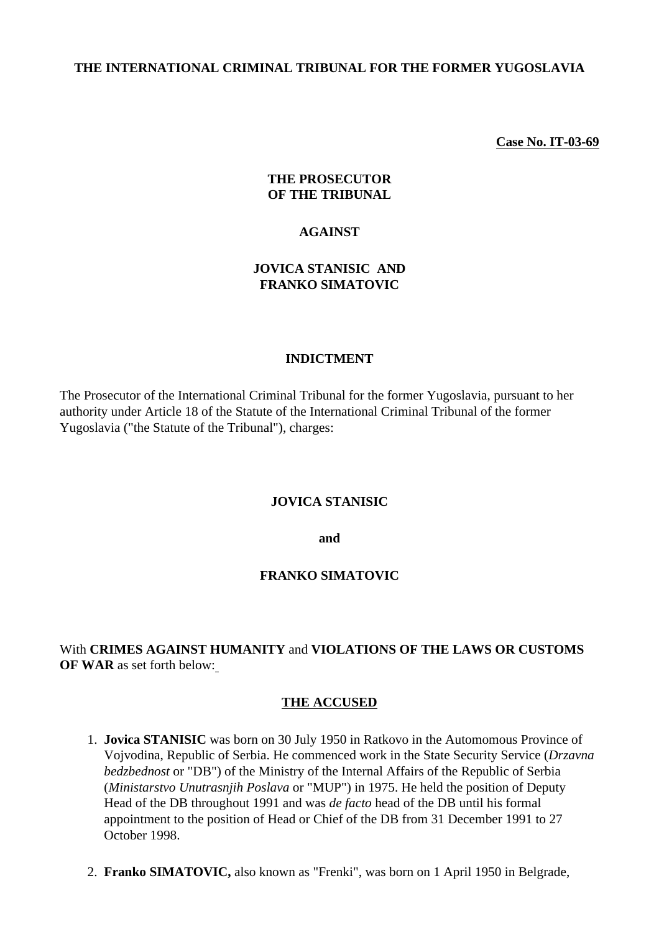#### **THE INTERNATIONAL CRIMINAL TRIBUNAL FOR THE FORMER YUGOSLAVIA**

**Case No. IT-03-69**

#### **THE PROSECUTOR OF THE TRIBUNAL**

#### **AGAINST**

## **JOVICA STANISIC AND FRANKO SIMATOVIC**

#### **INDICTMENT**

The Prosecutor of the International Criminal Tribunal for the former Yugoslavia, pursuant to her authority under Article 18 of the Statute of the International Criminal Tribunal of the former Yugoslavia ("the Statute of the Tribunal"), charges:

#### **JOVICA STANISIC**

**and**

#### **FRANKO SIMATOVIC**

With **CRIMES AGAINST HUMANITY** and **VIOLATIONS OF THE LAWS OR CUSTOMS OF WAR** as set forth below:

#### **THE ACCUSED**

- 1. **Jovica STANISIC** was born on 30 July 1950 in Ratkovo in the Automomous Province of Vojvodina, Republic of Serbia. He commenced work in the State Security Service (*Drzavna bedzbednost* or "DB") of the Ministry of the Internal Affairs of the Republic of Serbia (*Ministarstvo Unutrasnjih Poslava* or "MUP") in 1975. He held the position of Deputy Head of the DB throughout 1991 and was *de facto* head of the DB until his formal appointment to the position of Head or Chief of the DB from 31 December 1991 to 27 October 1998.
- 2. **Franko SIMATOVIC,** also known as "Frenki", was born on 1 April 1950 in Belgrade,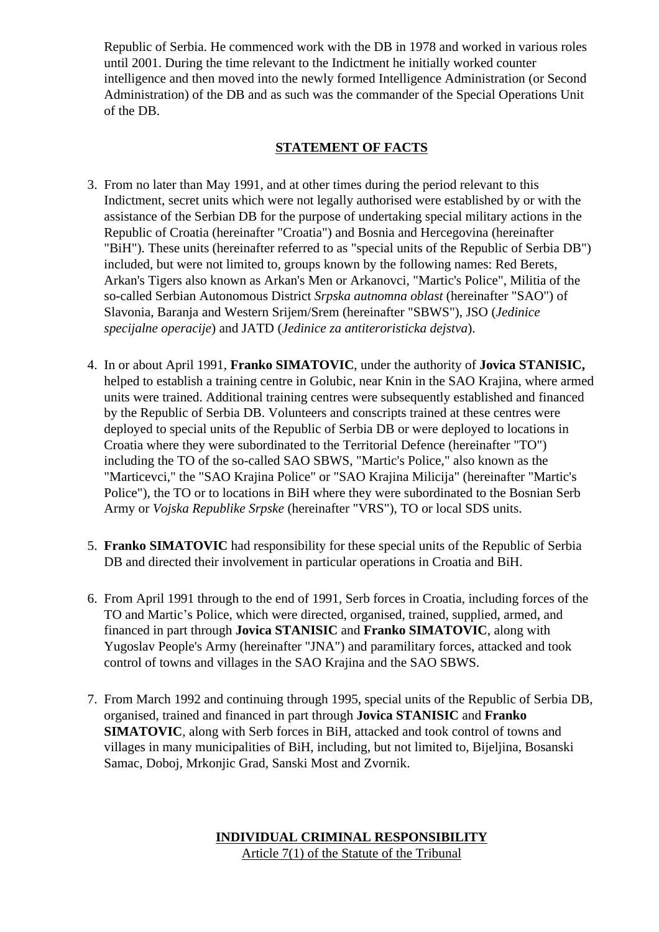Republic of Serbia. He commenced work with the DB in 1978 and worked in various roles until 2001. During the time relevant to the Indictment he initially worked counter intelligence and then moved into the newly formed Intelligence Administration (or Second Administration) of the DB and as such was the commander of the Special Operations Unit of the DB.

## **STATEMENT OF FACTS**

- 3. From no later than May 1991, and at other times during the period relevant to this Indictment, secret units which were not legally authorised were established by or with the assistance of the Serbian DB for the purpose of undertaking special military actions in the Republic of Croatia (hereinafter "Croatia") and Bosnia and Hercegovina (hereinafter "BiH"). These units (hereinafter referred to as "special units of the Republic of Serbia DB") included, but were not limited to, groups known by the following names: Red Berets, Arkan's Tigers also known as Arkan's Men or Arkanovci, "Martic's Police", Militia of the so-called Serbian Autonomous District *Srpska autnomna oblast* (hereinafter "SAO") of Slavonia, Baranja and Western Srijem/Srem (hereinafter "SBWS"), JSO (*Jedinice specijalne operacije*) and JATD (*Jedinice za antiteroristicka dejstva*).
- 4. In or about April 1991, **Franko SIMATOVIC**, under the authority of **Jovica STANISIC,**  helped to establish a training centre in Golubic, near Knin in the SAO Krajina, where armed units were trained. Additional training centres were subsequently established and financed by the Republic of Serbia DB. Volunteers and conscripts trained at these centres were deployed to special units of the Republic of Serbia DB or were deployed to locations in Croatia where they were subordinated to the Territorial Defence (hereinafter "TO") including the TO of the so-called SAO SBWS, "Martic's Police," also known as the "Marticevci," the "SAO Krajina Police" or "SAO Krajina Milicija" (hereinafter "Martic's Police"), the TO or to locations in BiH where they were subordinated to the Bosnian Serb Army or *Vojska Republike Srpske* (hereinafter "VRS"), TO or local SDS units.
- 5. **Franko SIMATOVIC** had responsibility for these special units of the Republic of Serbia DB and directed their involvement in particular operations in Croatia and BiH.
- 6. From April 1991 through to the end of 1991, Serb forces in Croatia, including forces of the TO and Martic's Police, which were directed, organised, trained, supplied, armed, and financed in part through **Jovica STANISIC** and **Franko SIMATOVIC**, along with Yugoslav People's Army (hereinafter "JNA") and paramilitary forces, attacked and took control of towns and villages in the SAO Krajina and the SAO SBWS.
- 7. From March 1992 and continuing through 1995, special units of the Republic of Serbia DB, organised, trained and financed in part through **Jovica STANISIC** and **Franko SIMATOVIC**, along with Serb forces in BiH, attacked and took control of towns and villages in many municipalities of BiH, including, but not limited to, Bijeljina, Bosanski Samac, Doboj, Mrkonjic Grad, Sanski Most and Zvornik.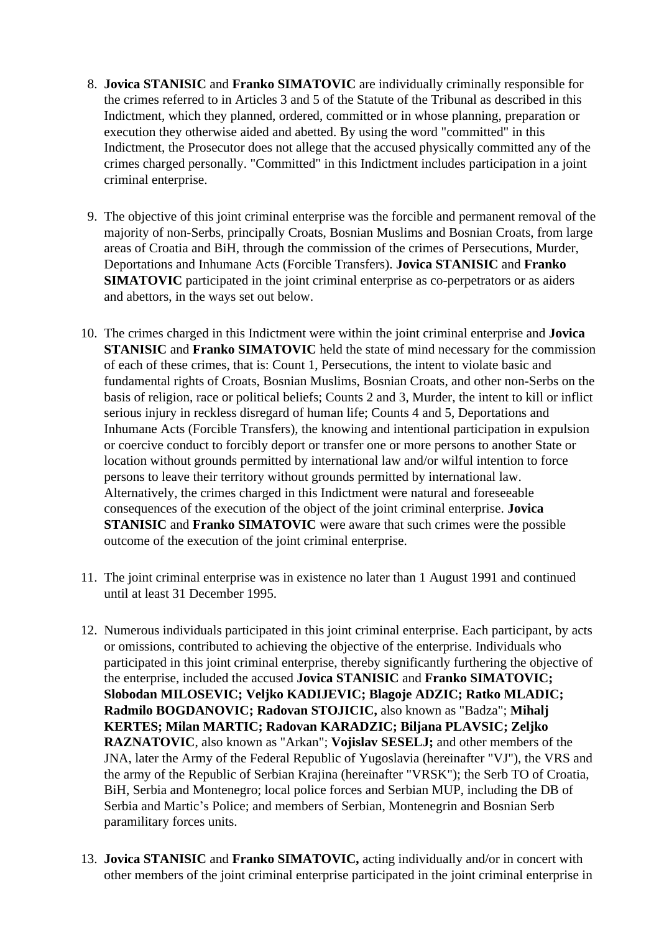- 8. **Jovica STANISIC** and **Franko SIMATOVIC** are individually criminally responsible for the crimes referred to in Articles 3 and 5 of the Statute of the Tribunal as described in this Indictment, which they planned, ordered, committed or in whose planning, preparation or execution they otherwise aided and abetted. By using the word "committed" in this Indictment, the Prosecutor does not allege that the accused physically committed any of the crimes charged personally. "Committed" in this Indictment includes participation in a joint criminal enterprise.
- 9. The objective of this joint criminal enterprise was the forcible and permanent removal of the majority of non-Serbs, principally Croats, Bosnian Muslims and Bosnian Croats, from large areas of Croatia and BiH, through the commission of the crimes of Persecutions, Murder, Deportations and Inhumane Acts (Forcible Transfers). **Jovica STANISIC** and **Franko SIMATOVIC** participated in the joint criminal enterprise as co-perpetrators or as aiders and abettors, in the ways set out below.
- 10. The crimes charged in this Indictment were within the joint criminal enterprise and **Jovica STANISIC** and **Franko SIMATOVIC** held the state of mind necessary for the commission of each of these crimes, that is: Count 1, Persecutions, the intent to violate basic and fundamental rights of Croats, Bosnian Muslims, Bosnian Croats, and other non-Serbs on the basis of religion, race or political beliefs; Counts 2 and 3, Murder, the intent to kill or inflict serious injury in reckless disregard of human life; Counts 4 and 5, Deportations and Inhumane Acts (Forcible Transfers), the knowing and intentional participation in expulsion or coercive conduct to forcibly deport or transfer one or more persons to another State or location without grounds permitted by international law and/or wilful intention to force persons to leave their territory without grounds permitted by international law. Alternatively, the crimes charged in this Indictment were natural and foreseeable consequences of the execution of the object of the joint criminal enterprise. **Jovica STANISIC** and **Franko SIMATOVIC** were aware that such crimes were the possible outcome of the execution of the joint criminal enterprise.
- 11. The joint criminal enterprise was in existence no later than 1 August 1991 and continued until at least 31 December 1995.
- 12. Numerous individuals participated in this joint criminal enterprise. Each participant, by acts or omissions, contributed to achieving the objective of the enterprise. Individuals who participated in this joint criminal enterprise, thereby significantly furthering the objective of the enterprise, included the accused **Jovica STANISIC** and **Franko SIMATOVIC; Slobodan MILOSEVIC; Veljko KADIJEVIC; Blagoje ADZIC; Ratko MLADIC; Radmilo BOGDANOVIC; Radovan STOJICIC,** also known as "Badza"; **Mihalj KERTES; Milan MARTIC; Radovan KARADZIC; Biljana PLAVSIC; Zeljko RAZNATOVIC**, also known as "Arkan"; **Vojislav SESELJ;** and other members of the JNA, later the Army of the Federal Republic of Yugoslavia (hereinafter "VJ"), the VRS and the army of the Republic of Serbian Krajina (hereinafter "VRSK"); the Serb TO of Croatia, BiH, Serbia and Montenegro; local police forces and Serbian MUP, including the DB of Serbia and Martic's Police; and members of Serbian, Montenegrin and Bosnian Serb paramilitary forces units.
- 13. **Jovica STANISIC** and **Franko SIMATOVIC,** acting individually and/or in concert with other members of the joint criminal enterprise participated in the joint criminal enterprise in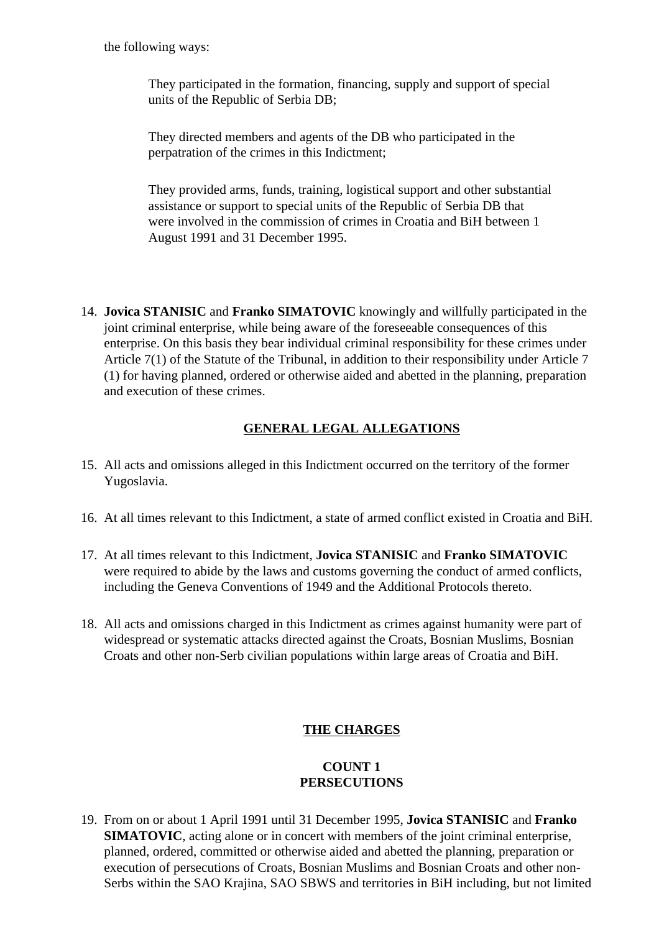the following ways:

They participated in the formation, financing, supply and support of special units of the Republic of Serbia DB;

They directed members and agents of the DB who participated in the perpatration of the crimes in this Indictment;

They provided arms, funds, training, logistical support and other substantial assistance or support to special units of the Republic of Serbia DB that were involved in the commission of crimes in Croatia and BiH between 1 August 1991 and 31 December 1995.

14. **Jovica STANISIC** and **Franko SIMATOVIC** knowingly and willfully participated in the joint criminal enterprise, while being aware of the foreseeable consequences of this enterprise. On this basis they bear individual criminal responsibility for these crimes under Article 7(1) of the Statute of the Tribunal, in addition to their responsibility under Article 7 (1) for having planned, ordered or otherwise aided and abetted in the planning, preparation and execution of these crimes.

## **GENERAL LEGAL ALLEGATIONS**

- 15. All acts and omissions alleged in this Indictment occurred on the territory of the former Yugoslavia.
- 16. At all times relevant to this Indictment, a state of armed conflict existed in Croatia and BiH.
- 17. At all times relevant to this Indictment, **Jovica STANISIC** and **Franko SIMATOVIC** were required to abide by the laws and customs governing the conduct of armed conflicts, including the Geneva Conventions of 1949 and the Additional Protocols thereto.
- 18. All acts and omissions charged in this Indictment as crimes against humanity were part of widespread or systematic attacks directed against the Croats, Bosnian Muslims, Bosnian Croats and other non-Serb civilian populations within large areas of Croatia and BiH.

## **THE CHARGES**

## **COUNT 1 PERSECUTIONS**

19. From on or about 1 April 1991 until 31 December 1995, **Jovica STANISIC** and **Franko SIMATOVIC**, acting alone or in concert with members of the joint criminal enterprise, planned, ordered, committed or otherwise aided and abetted the planning, preparation or execution of persecutions of Croats, Bosnian Muslims and Bosnian Croats and other non-Serbs within the SAO Krajina, SAO SBWS and territories in BiH including, but not limited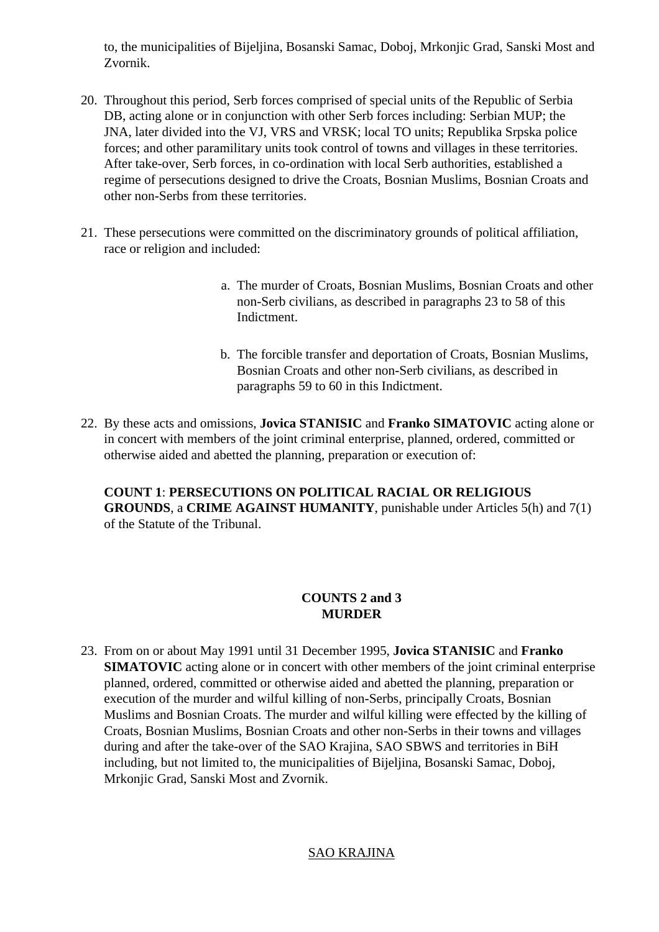to, the municipalities of Bijeljina, Bosanski Samac, Doboj, Mrkonjic Grad, Sanski Most and Zvornik.

- 20. Throughout this period, Serb forces comprised of special units of the Republic of Serbia DB, acting alone or in conjunction with other Serb forces including: Serbian MUP; the JNA, later divided into the VJ, VRS and VRSK; local TO units; Republika Srpska police forces; and other paramilitary units took control of towns and villages in these territories. After take-over, Serb forces, in co-ordination with local Serb authorities, established a regime of persecutions designed to drive the Croats, Bosnian Muslims, Bosnian Croats and other non-Serbs from these territories.
- 21. These persecutions were committed on the discriminatory grounds of political affiliation, race or religion and included:
	- a. The murder of Croats, Bosnian Muslims, Bosnian Croats and other non-Serb civilians, as described in paragraphs 23 to 58 of this Indictment.
	- b. The forcible transfer and deportation of Croats, Bosnian Muslims, Bosnian Croats and other non-Serb civilians, as described in paragraphs 59 to 60 in this Indictment.
- 22. By these acts and omissions, **Jovica STANISIC** and **Franko SIMATOVIC** acting alone or in concert with members of the joint criminal enterprise, planned, ordered, committed or otherwise aided and abetted the planning, preparation or execution of:

**COUNT 1**: **PERSECUTIONS ON POLITICAL RACIAL OR RELIGIOUS GROUNDS**, a **CRIME AGAINST HUMANITY**, punishable under Articles 5(h) and 7(1) of the Statute of the Tribunal.

## **COUNTS 2 and 3 MURDER**

23. From on or about May 1991 until 31 December 1995, **Jovica STANISIC** and **Franko SIMATOVIC** acting alone or in concert with other members of the joint criminal enterprise planned, ordered, committed or otherwise aided and abetted the planning, preparation or execution of the murder and wilful killing of non-Serbs, principally Croats, Bosnian Muslims and Bosnian Croats. The murder and wilful killing were effected by the killing of Croats, Bosnian Muslims, Bosnian Croats and other non-Serbs in their towns and villages during and after the take-over of the SAO Krajina, SAO SBWS and territories in BiH including, but not limited to, the municipalities of Bijeljina, Bosanski Samac, Doboj, Mrkonjic Grad, Sanski Most and Zvornik.

# SAO KRAJINA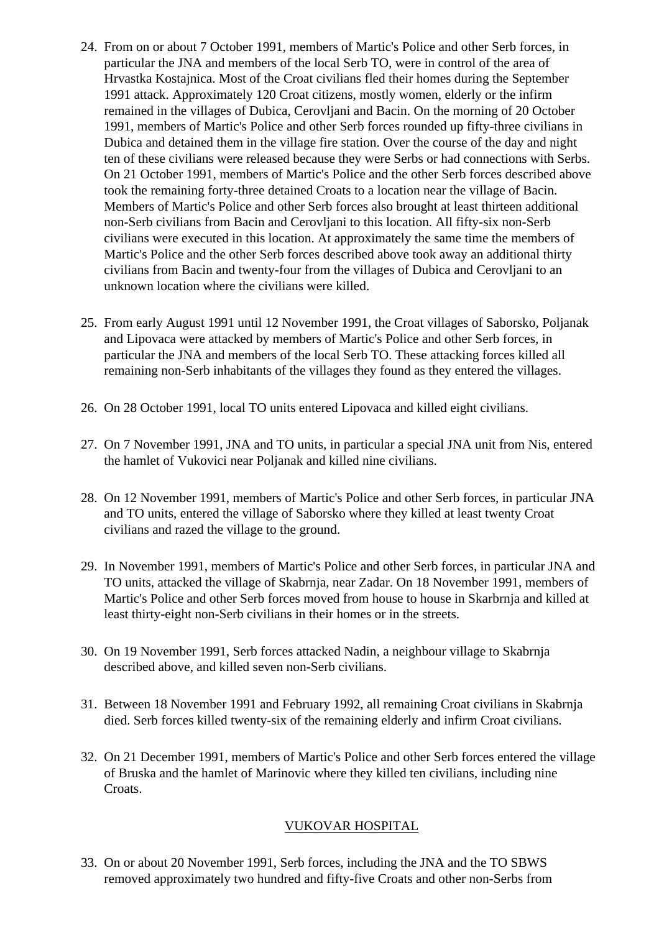- 24. From on or about 7 October 1991, members of Martic's Police and other Serb forces, in particular the JNA and members of the local Serb TO, were in control of the area of Hrvastka Kostajnica. Most of the Croat civilians fled their homes during the September 1991 attack. Approximately 120 Croat citizens, mostly women, elderly or the infirm remained in the villages of Dubica, Cerovljani and Bacin. On the morning of 20 October 1991, members of Martic's Police and other Serb forces rounded up fifty-three civilians in Dubica and detained them in the village fire station. Over the course of the day and night ten of these civilians were released because they were Serbs or had connections with Serbs. On 21 October 1991, members of Martic's Police and the other Serb forces described above took the remaining forty-three detained Croats to a location near the village of Bacin. Members of Martic's Police and other Serb forces also brought at least thirteen additional non-Serb civilians from Bacin and Cerovljani to this location. All fifty-six non-Serb civilians were executed in this location. At approximately the same time the members of Martic's Police and the other Serb forces described above took away an additional thirty civilians from Bacin and twenty-four from the villages of Dubica and Cerovljani to an unknown location where the civilians were killed.
- 25. From early August 1991 until 12 November 1991, the Croat villages of Saborsko, Poljanak and Lipovaca were attacked by members of Martic's Police and other Serb forces, in particular the JNA and members of the local Serb TO. These attacking forces killed all remaining non-Serb inhabitants of the villages they found as they entered the villages.
- 26. On 28 October 1991, local TO units entered Lipovaca and killed eight civilians.
- 27. On 7 November 1991, JNA and TO units, in particular a special JNA unit from Nis, entered the hamlet of Vukovici near Poljanak and killed nine civilians.
- 28. On 12 November 1991, members of Martic's Police and other Serb forces, in particular JNA and TO units, entered the village of Saborsko where they killed at least twenty Croat civilians and razed the village to the ground.
- 29. In November 1991, members of Martic's Police and other Serb forces, in particular JNA and TO units, attacked the village of Skabrnja, near Zadar. On 18 November 1991, members of Martic's Police and other Serb forces moved from house to house in Skarbrnja and killed at least thirty-eight non-Serb civilians in their homes or in the streets.
- 30. On 19 November 1991, Serb forces attacked Nadin, a neighbour village to Skabrnja described above, and killed seven non-Serb civilians.
- 31. Between 18 November 1991 and February 1992, all remaining Croat civilians in Skabrnja died. Serb forces killed twenty-six of the remaining elderly and infirm Croat civilians.
- 32. On 21 December 1991, members of Martic's Police and other Serb forces entered the village of Bruska and the hamlet of Marinovic where they killed ten civilians, including nine Croats.

# VUKOVAR HOSPITAL

33. On or about 20 November 1991, Serb forces, including the JNA and the TO SBWS removed approximately two hundred and fifty-five Croats and other non-Serbs from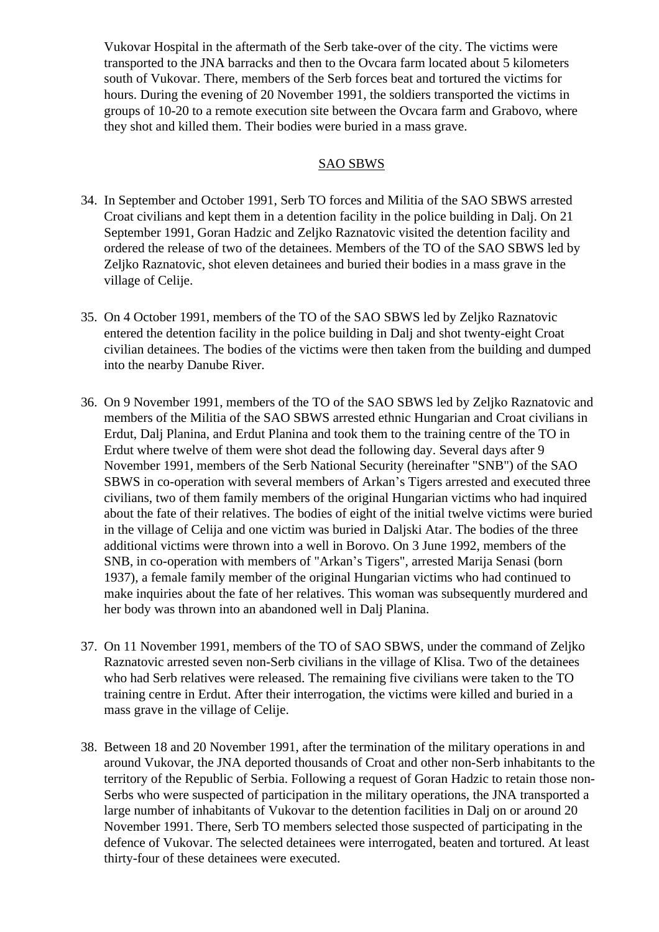Vukovar Hospital in the aftermath of the Serb take-over of the city. The victims were transported to the JNA barracks and then to the Ovcara farm located about 5 kilometers south of Vukovar. There, members of the Serb forces beat and tortured the victims for hours. During the evening of 20 November 1991, the soldiers transported the victims in groups of 10-20 to a remote execution site between the Ovcara farm and Grabovo, where they shot and killed them. Their bodies were buried in a mass grave.

#### SAO SBWS

- 34. In September and October 1991, Serb TO forces and Militia of the SAO SBWS arrested Croat civilians and kept them in a detention facility in the police building in Dalj. On 21 September 1991, Goran Hadzic and Zeljko Raznatovic visited the detention facility and ordered the release of two of the detainees. Members of the TO of the SAO SBWS led by Zeljko Raznatovic, shot eleven detainees and buried their bodies in a mass grave in the village of Celije.
- 35. On 4 October 1991, members of the TO of the SAO SBWS led by Zeljko Raznatovic entered the detention facility in the police building in Dalj and shot twenty-eight Croat civilian detainees. The bodies of the victims were then taken from the building and dumped into the nearby Danube River.
- 36. On 9 November 1991, members of the TO of the SAO SBWS led by Zeljko Raznatovic and members of the Militia of the SAO SBWS arrested ethnic Hungarian and Croat civilians in Erdut, Dalj Planina, and Erdut Planina and took them to the training centre of the TO in Erdut where twelve of them were shot dead the following day. Several days after 9 November 1991, members of the Serb National Security (hereinafter "SNB") of the SAO SBWS in co-operation with several members of Arkan's Tigers arrested and executed three civilians, two of them family members of the original Hungarian victims who had inquired about the fate of their relatives. The bodies of eight of the initial twelve victims were buried in the village of Celija and one victim was buried in Daljski Atar. The bodies of the three additional victims were thrown into a well in Borovo. On 3 June 1992, members of the SNB, in co-operation with members of "Arkan's Tigers", arrested Marija Senasi (born 1937), a female family member of the original Hungarian victims who had continued to make inquiries about the fate of her relatives. This woman was subsequently murdered and her body was thrown into an abandoned well in Dalj Planina.
- 37. On 11 November 1991, members of the TO of SAO SBWS, under the command of Zeljko Raznatovic arrested seven non-Serb civilians in the village of Klisa. Two of the detainees who had Serb relatives were released. The remaining five civilians were taken to the TO training centre in Erdut. After their interrogation, the victims were killed and buried in a mass grave in the village of Celije.
- 38. Between 18 and 20 November 1991, after the termination of the military operations in and around Vukovar, the JNA deported thousands of Croat and other non-Serb inhabitants to the territory of the Republic of Serbia. Following a request of Goran Hadzic to retain those non-Serbs who were suspected of participation in the military operations, the JNA transported a large number of inhabitants of Vukovar to the detention facilities in Dalj on or around 20 November 1991. There, Serb TO members selected those suspected of participating in the defence of Vukovar. The selected detainees were interrogated, beaten and tortured. At least thirty-four of these detainees were executed.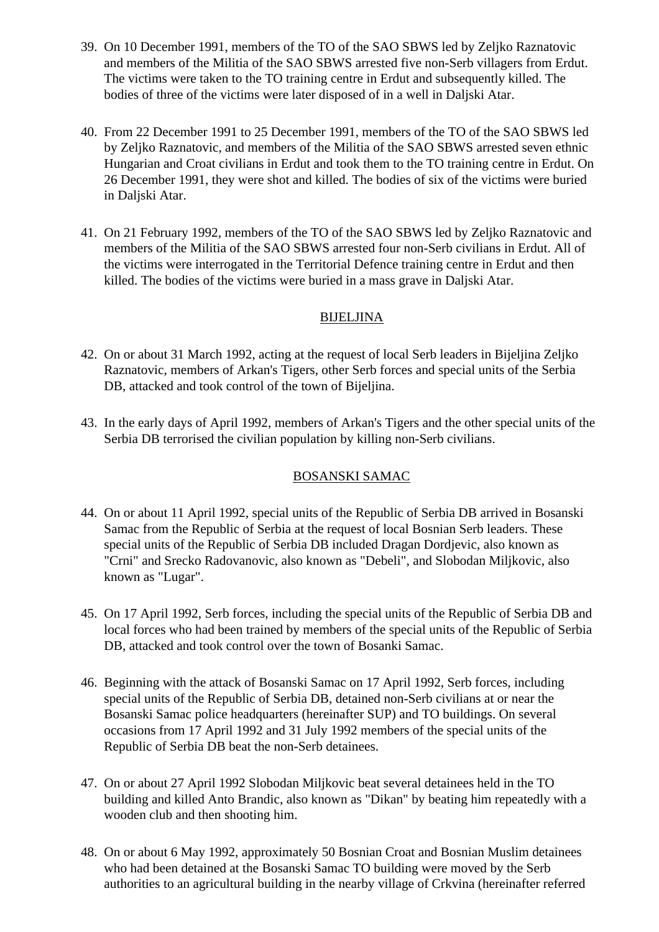- 39. On 10 December 1991, members of the TO of the SAO SBWS led by Zeljko Raznatovic and members of the Militia of the SAO SBWS arrested five non-Serb villagers from Erdut. The victims were taken to the TO training centre in Erdut and subsequently killed. The bodies of three of the victims were later disposed of in a well in Daljski Atar.
- 40. From 22 December 1991 to 25 December 1991, members of the TO of the SAO SBWS led by Zeljko Raznatovic, and members of the Militia of the SAO SBWS arrested seven ethnic Hungarian and Croat civilians in Erdut and took them to the TO training centre in Erdut. On 26 December 1991, they were shot and killed. The bodies of six of the victims were buried in Daljski Atar.
- 41. On 21 February 1992, members of the TO of the SAO SBWS led by Zeljko Raznatovic and members of the Militia of the SAO SBWS arrested four non-Serb civilians in Erdut. All of the victims were interrogated in the Territorial Defence training centre in Erdut and then killed. The bodies of the victims were buried in a mass grave in Daljski Atar.

## BIJELJINA

- 42. On or about 31 March 1992, acting at the request of local Serb leaders in Bijeljina Zeljko Raznatovic, members of Arkan's Tigers, other Serb forces and special units of the Serbia DB, attacked and took control of the town of Bijeljina.
- 43. In the early days of April 1992, members of Arkan's Tigers and the other special units of the Serbia DB terrorised the civilian population by killing non-Serb civilians.

# BOSANSKI SAMAC

- 44. On or about 11 April 1992, special units of the Republic of Serbia DB arrived in Bosanski Samac from the Republic of Serbia at the request of local Bosnian Serb leaders. These special units of the Republic of Serbia DB included Dragan Dordjevic, also known as "Crni" and Srecko Radovanovic, also known as "Debeli", and Slobodan Miljkovic, also known as "Lugar".
- 45. On 17 April 1992, Serb forces, including the special units of the Republic of Serbia DB and local forces who had been trained by members of the special units of the Republic of Serbia DB, attacked and took control over the town of Bosanki Samac.
- 46. Beginning with the attack of Bosanski Samac on 17 April 1992, Serb forces, including special units of the Republic of Serbia DB, detained non-Serb civilians at or near the Bosanski Samac police headquarters (hereinafter SUP) and TO buildings. On several occasions from 17 April 1992 and 31 July 1992 members of the special units of the Republic of Serbia DB beat the non-Serb detainees.
- 47. On or about 27 April 1992 Slobodan Miljkovic beat several detainees held in the TO building and killed Anto Brandic, also known as "Dikan" by beating him repeatedly with a wooden club and then shooting him.
- 48. On or about 6 May 1992, approximately 50 Bosnian Croat and Bosnian Muslim detainees who had been detained at the Bosanski Samac TO building were moved by the Serb authorities to an agricultural building in the nearby village of Crkvina (hereinafter referred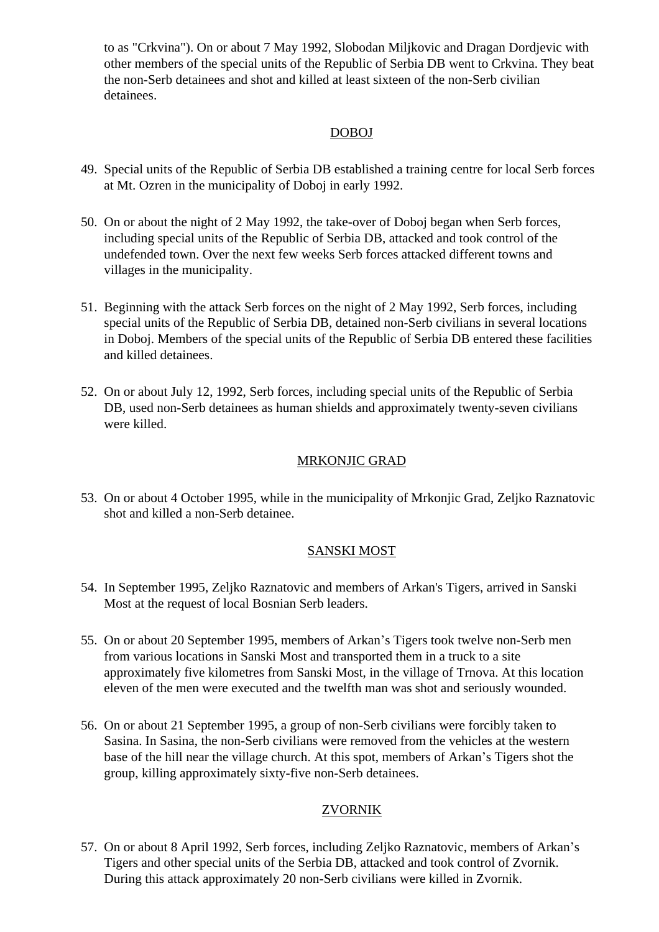to as "Crkvina"). On or about 7 May 1992, Slobodan Miljkovic and Dragan Dordjevic with other members of the special units of the Republic of Serbia DB went to Crkvina. They beat the non-Serb detainees and shot and killed at least sixteen of the non-Serb civilian detainees.

## DOBOJ

- 49. Special units of the Republic of Serbia DB established a training centre for local Serb forces at Mt. Ozren in the municipality of Doboj in early 1992.
- 50. On or about the night of 2 May 1992, the take-over of Doboj began when Serb forces, including special units of the Republic of Serbia DB, attacked and took control of the undefended town. Over the next few weeks Serb forces attacked different towns and villages in the municipality.
- 51. Beginning with the attack Serb forces on the night of 2 May 1992, Serb forces, including special units of the Republic of Serbia DB, detained non-Serb civilians in several locations in Doboj. Members of the special units of the Republic of Serbia DB entered these facilities and killed detainees.
- 52. On or about July 12, 1992, Serb forces, including special units of the Republic of Serbia DB, used non-Serb detainees as human shields and approximately twenty-seven civilians were killed.

## MRKONJIC GRAD

53. On or about 4 October 1995, while in the municipality of Mrkonjic Grad, Zeljko Raznatovic shot and killed a non-Serb detainee.

## SANSKI MOST

- 54. In September 1995, Zeljko Raznatovic and members of Arkan's Tigers, arrived in Sanski Most at the request of local Bosnian Serb leaders.
- 55. On or about 20 September 1995, members of Arkan's Tigers took twelve non-Serb men from various locations in Sanski Most and transported them in a truck to a site approximately five kilometres from Sanski Most, in the village of Trnova. At this location eleven of the men were executed and the twelfth man was shot and seriously wounded.
- 56. On or about 21 September 1995, a group of non-Serb civilians were forcibly taken to Sasina. In Sasina, the non-Serb civilians were removed from the vehicles at the western base of the hill near the village church. At this spot, members of Arkan's Tigers shot the group, killing approximately sixty-five non-Serb detainees.

# ZVORNIK

57. On or about 8 April 1992, Serb forces, including Zeljko Raznatovic, members of Arkan's Tigers and other special units of the Serbia DB, attacked and took control of Zvornik. During this attack approximately 20 non-Serb civilians were killed in Zvornik.